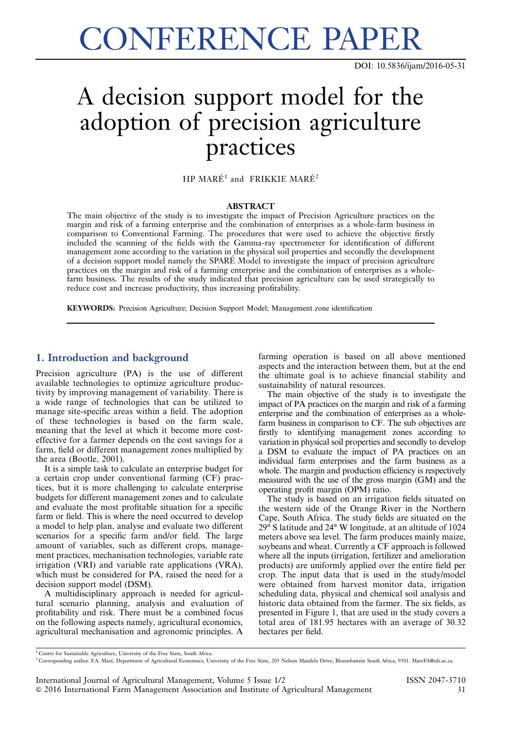CONFERENCE PAPER

DOI: [10.5836/ijam/2016-05-31](http://dx.doi.org/10.5836/ijam/2016-05-31)

# A decision support model for the adoption of precision agriculture practices

 $HP$  MARÉ<sup>1</sup> and FRIKKIE MARÉ<sup>2</sup>

### ABSTRACT

The main objective of the study is to investigate the impact of Precision Agriculture practices on the margin and risk of a farming enterprise and the combination of enterprises as a whole-farm business in comparison to Conventional Farming. The procedures that were used to achieve the objective firstly included the scanning of the fields with the Gamma-ray spectrometer for identification of different management zone according to the variation in the physical soil properties and secondly the development of a decision support model namely the SPARE´ Model to investigate the impact of precision agriculture practices on the margin and risk of a farming enterprise and the combination of enterprises as a wholefarm business. The results of the study indicated that precision agriculture can be used strategically to reduce cost and increase productivity, thus increasing profitability.

KEYWORDS: Precision Agriculture; Decision Support Model; Management zone identification

# 1. Introduction and background

Precision agriculture (PA) is the use of different available technologies to optimize agriculture productivity by improving management of variability. There is a wide range of technologies that can be utilized to manage site-specific areas within a field. The adoption of these technologies is based on the farm scale, meaning that the level at which it become more costeffective for a farmer depends on the cost savings for a farm, field or different management zones multiplied by the area (Bootle, 2001).

It is a simple task to calculate an enterprise budget for a certain crop under conventional farming (CF) practices, but it is more challenging to calculate enterprise budgets for different management zones and to calculate and evaluate the most profitable situation for a specific farm or field. This is where the need occurred to develop a model to help plan, analyse and evaluate two different scenarios for a specific farm and/or field. The large amount of variables, such as different crops, management practices, mechanisation technologies, variable rate irrigation (VRI) and variable rate applications (VRA), which must be considered for PA, raised the need for a decision support model (DSM).

A multidisciplinary approach is needed for agricultural scenario planning, analysis and evaluation of profitability and risk. There must be a combined focus on the following aspects namely, agricultural economics, agricultural mechanisation and agronomic principles. A

farming operation is based on all above mentioned aspects and the interaction between them, but at the end the ultimate goal is to achieve financial stability and sustainability of natural resources.

The main objective of the study is to investigate the impact of PA practices on the margin and risk of a farming enterprise and the combination of enterprises as a wholefarm business in comparison to CF. The sub objectives are firstly to identifying management zones according to variation in physical soil properties and secondly to develop a DSM to evaluate the impact of PA practices on an individual farm enterprises and the farm business as a whole. The margin and production efficiency is respectively measured with the use of the gross margin (GM) and the operating profit margin (OPM) ratio.

The study is based on an irrigation fields situated on the western side of the Orange River in the Northern Cape, South Africa. The study fields are situated on the 29° S latitude and 24° W longitude, at an altitude of 1024 meters above sea level. The farm produces mainly maize, soybeans and wheat. Currently a CF approach is followed where all the inputs (irrigation, fertilizer and amelioration products) are uniformly applied over the entire field per crop. The input data that is used in the study/model were obtained from harvest monitor data, irrigation scheduling data, physical and chemical soil analysis and historic data obtained from the farmer. The six fields, as presented in [Figure 1,](#page-1-0) that are used in the study covers a total area of 181.95 hectares with an average of 30.32 hectares per field.

<sup>1</sup> Centre for Sustainable Agriculture, University of the Free State, South Africa.

<sup>&</sup>lt;sup>2</sup> Corresponding author. F.A. Maré, Department of Agricultural Economics, University of the Free State, 205 Nelson Mandela Drive, Bloemfontein South Africa, 9301. MareFA@ufs.ac.za.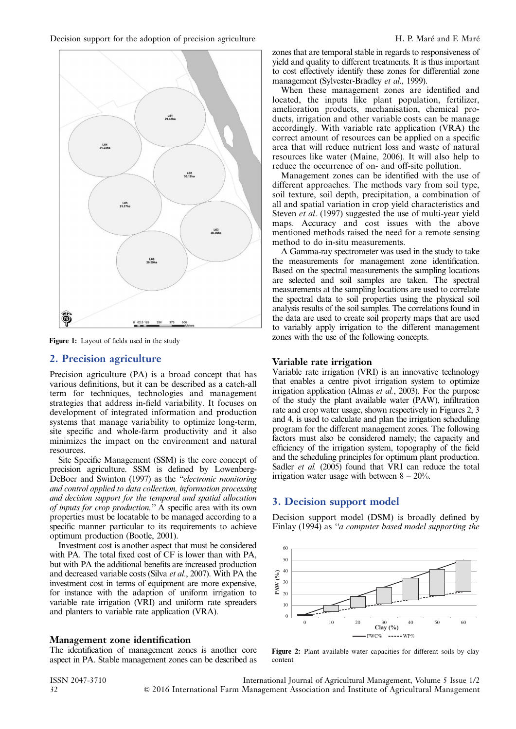

<span id="page-1-0"></span>

Figure 1: Layout of fields used in the study

# 2. Precision agriculture

Precision agriculture (PA) is a broad concept that has various definitions, but it can be described as a catch-all term for techniques, technologies and management strategies that address in-field variability. It focuses on development of integrated information and production systems that manage variability to optimize long-term, site specific and whole-farm productivity and it also minimizes the impact on the environment and natural resources.

Site Specific Management (SSM) is the core concept of precision agriculture. SSM is defined by Lowenberg-DeBoer and Swinton (1997) as the "electronic monitoring and control applied to data collection, information processing and decision support for the temporal and spatial allocation of inputs for crop production.'' A specific area with its own properties must be locatable to be managed according to a specific manner particular to its requirements to achieve optimum production (Bootle, 2001).

Investment cost is another aspect that must be considered with PA. The total fixed cost of CF is lower than with PA, but with PA the additional benefits are increased production and decreased variable costs (Silva et al., 2007). With PA the investment cost in terms of equipment are more expensive, for instance with the adaption of uniform irrigation to variable rate irrigation (VRI) and uniform rate spreaders and planters to variable rate application (VRA).

## Management zone identification

The identification of management zones is another core aspect in PA. Stable management zones can be described as zones that are temporal stable in regards to responsiveness of yield and quality to different treatments. It is thus important to cost effectively identify these zones for differential zone management (Sylvester-Bradley et al., 1999).

When these management zones are identified and located, the inputs like plant population, fertilizer, amelioration products, mechanisation, chemical products, irrigation and other variable costs can be manage accordingly. With variable rate application (VRA) the correct amount of resources can be applied on a specific area that will reduce nutrient loss and waste of natural resources like water (Maine, 2006). It will also help to reduce the occurrence of on- and off-site pollution.

Management zones can be identified with the use of different approaches. The methods vary from soil type, soil texture, soil depth, precipitation, a combination of all and spatial variation in crop yield characteristics and Steven *et al.* (1997) suggested the use of multi-year yield maps. Accuracy and cost issues with the above mentioned methods raised the need for a remote sensing method to do in-situ measurements.

A Gamma-ray spectrometer was used in the study to take the measurements for management zone identification. Based on the spectral measurements the sampling locations are selected and soil samples are taken. The spectral measurements at the sampling locations are used to correlate the spectral data to soil properties using the physical soil analysis results of the soil samples. The correlations found in the data are used to create soil property maps that are used to variably apply irrigation to the different management zones with the use of the following concepts.

# Variable rate irrigation

Variable rate irrigation (VRI) is an innovative technology that enables a centre pivot irrigation system to optimize irrigation application (Almas et al., 2003). For the purpose of the study the plant available water (PAW), infiltration rate and crop water usage, shown respectively in Figures 2, [3](#page-2-0) and [4,](#page-2-0) is used to calculate and plan the irrigation scheduling program for the different management zones. The following factors must also be considered namely; the capacity and efficiency of the irrigation system, topography of the field and the scheduling principles for optimum plant production. Sadler *et al.* (2005) found that VRI can reduce the total irrigation water usage with between  $8 - 20\%$ .

# 3. Decision support model

Decision support model (DSM) is broadly defined by Finlay (1994) as ''a computer based model supporting the



Figure 2: Plant available water capacities for different soils by clay content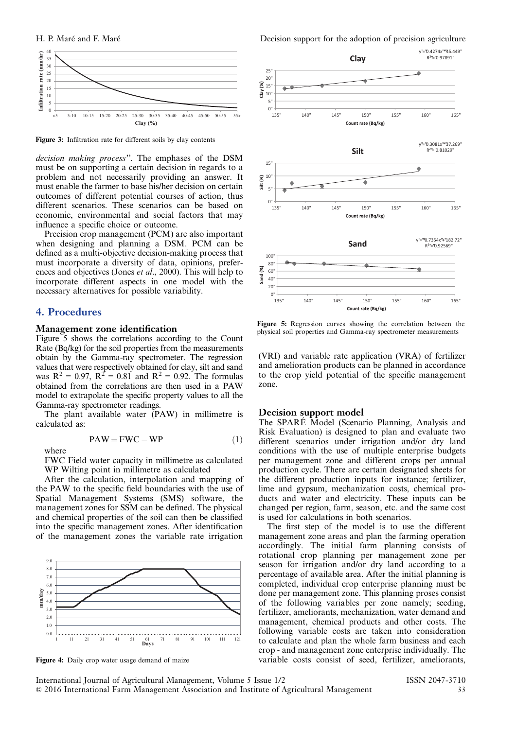

Figure 3: Infiltration rate for different soils by clay contents

decision making process''. The emphases of the DSM must be on supporting a certain decision in regards to a problem and not necessarily providing an answer. It must enable the farmer to base his/her decision on certain outcomes of different potential courses of action, thus different scenarios. These scenarios can be based on economic, environmental and social factors that may influence a specific choice or outcome.

Precision crop management (PCM) are also important when designing and planning a DSM. PCM can be defined as a multi-objective decision-making process that must incorporate a diversity of data, opinions, preferences and objectives (Jones *et al.*, 2000). This will help to incorporate different aspects in one model with the necessary alternatives for possible variability.

## 4. Procedures

### Management zone identification

Figure 5 shows the correlations according to the Count Rate (Bq/kg) for the soil properties from the measurements obtain by the Gamma-ray spectrometer. The regression values that were respectively obtained for clay, silt and sand was  $R^2 = 0.97$ ,  $R^2 = 0.81$  and  $R^2 = 0.92$ . The formulas obtained from the correlations are then used in a PAW model to extrapolate the specific property values to all the Gamma-ray spectrometer readings.

The plant available water (PAW) in millimetre is calculated as:

$$
PAW = FWC - WP
$$
 (1)

where

FWC Field water capacity in millimetre as calculated WP Wilting point in millimetre as calculated

After the calculation, interpolation and mapping of the PAW to the specific field boundaries with the use of Spatial Management Systems (SMS) software, the management zones for SSM can be defined. The physical and chemical properties of the soil can then be classified into the specific management zones. After identification of the management zones the variable rate irrigation



Figure 4: Daily crop water usage demand of maize

<span id="page-2-0"></span>H. P. Maré and F. Maré



Figure 5: Regression curves showing the correlation between the physical soil properties and Gamma-ray spectrometer measurements

(VRI) and variable rate application (VRA) of fertilizer and amelioration products can be planned in accordance to the crop yield potential of the specific management zone.

### Decision support model

The SPARÉ Model (Scenario Planning, Analysis and Risk Evaluation) is designed to plan and evaluate two different scenarios under irrigation and/or dry land conditions with the use of multiple enterprise budgets per management zone and different crops per annual production cycle. There are certain designated sheets for the different production inputs for instance; fertilizer, lime and gypsum, mechanization costs, chemical products and water and electricity. These inputs can be changed per region, farm, season, etc. and the same cost is used for calculations in both scenarios.

The first step of the model is to use the different management zone areas and plan the farming operation accordingly. The initial farm planning consists of rotational crop planning per management zone per season for irrigation and/or dry land according to a percentage of available area. After the initial planning is completed, individual crop enterprise planning must be done per management zone. This planning proses consist of the following variables per zone namely; seeding, fertilizer, ameliorants, mechanization, water demand and management, chemical products and other costs. The following variable costs are taken into consideration to calculate and plan the whole farm business and each crop - and management zone enterprise individually. The variable costs consist of seed, fertilizer, ameliorants,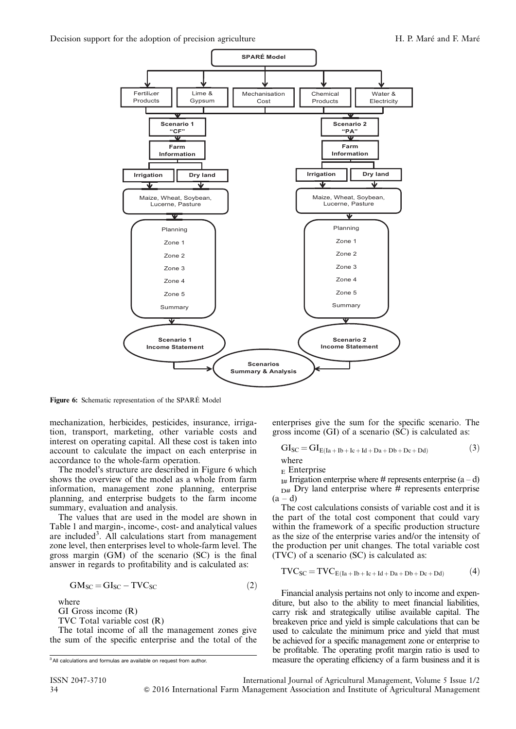

Figure 6: Schematic representation of the SPARÉ Model

mechanization, herbicides, pesticides, insurance, irrigation, transport, marketing, other variable costs and interest on operating capital. All these cost is taken into account to calculate the impact on each enterprise in accordance to the whole-farm operation.

The model's structure are described in Figure 6 which shows the overview of the model as a whole from farm information, management zone planning, enterprise planning, and enterprise budgets to the farm income summary, evaluation and analysis.

The values that are used in the model are shown in Table 1 and margin-, income-, cost- and analytical values are included<sup>3</sup>. All calculations start from management zone level, then enterprises level to whole-farm level. The gross margin (GM) of the scenario (SC) is the final answer in regards to profitability and is calculated as:

$$
GM_{SC} = GI_{SC} - TVC_{SC}
$$
 (2)

where

GI Gross income (R)

TVC Total variable cost (R)

The total income of all the management zones give the sum of the specific enterprise and the total of the enterprises give the sum for the specific scenario. The gross income (GI) of a scenario (SC) is calculated as:

$$
GI_{SC} = GI_{E(Ia + Ib + Ic + Id + Da + Db + De + Dd)}
$$
\n(3)

$$
\frac{W}{\text{Hence}} =
$$

 $_{E}$  Enterprise

 $_{I#}$  Irrigation enterprise where # represents enterprise  $(a-d)$  $_{D#}$  Dry land enterprise where  $#$  represents enterprise  $(a-d)$ 

The cost calculations consists of variable cost and it is the part of the total cost component that could vary within the framework of a specific production structure as the size of the enterprise varies and/or the intensity of the production per unit changes. The total variable cost (TVC) of a scenario (SC) is calculated as:

$$
TVC_{SC} = TVC_{E(Ia+Ib+Ic+Id+Da+Db+Dc+Dd)} \tag{4}
$$

Financial analysis pertains not only to income and expenditure, but also to the ability to meet financial liabilities, carry risk and strategically utilise available capital. The breakeven price and yield is simple calculations that can be used to calculate the minimum price and yield that must be achieved for a specific management zone or enterprise to be profitable. The operating profit margin ratio is used to measure the operating efficiency of a farm business and it is

ISSN 2047-3710 International Journal of Agricultural Management, Volume 5 Issue 1/2 34 & 2016 International Farm Management Association and Institute of Agricultural Management

<sup>&</sup>lt;sup>3</sup> All calculations and formulas are available on request from author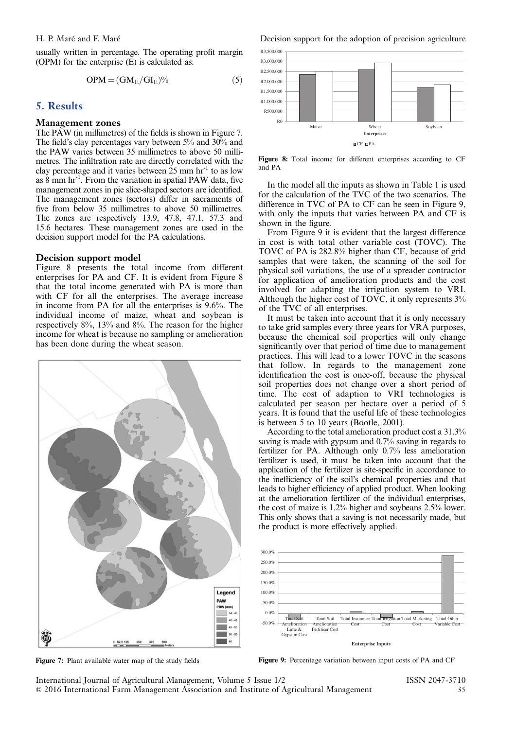usually written in percentage. The operating profit margin (OPM) for the enterprise (E) is calculated as:

$$
OPM = (GM_E/GI_E)\%
$$
 (5)

# 5. Results

### Management zones

The PAW (in millimetres) of the fields is shown in Figure 7. The field's clay percentages vary between 5% and 30% and the PAW varies between 35 millimetres to above 50 millimetres. The infiltration rate are directly correlated with the clay percentage and it varies between  $25 \text{ mm hr}^{-1}$  to as low as 8 mm hr-1. From the variation in spatial PAW data, five management zones in pie slice-shaped sectors are identified. The management zones (sectors) differ in sacraments of five from below 35 millimetres to above 50 millimetres. The zones are respectively 13.9, 47.8, 47.1, 57.3 and 15.6 hectares. These management zones are used in the decision support model for the PA calculations.

### Decision support model

Figure 8 presents the total income from different enterprises for PA and CF. It is evident from Figure 8 that the total income generated with PA is more than with CF for all the enterprises. The average increase in income from PA for all the enterprises is 9.6%. The individual income of maize, wheat and soybean is respectively 8%, 13% and 8%. The reason for the higher income for wheat is because no sampling or amelioration has been done during the wheat season.



Figure 7: Plant available water map of the study fields

H. P. Maré and F. Maré



Figure 8: Total income for different enterprises according to CF and PA

In the model all the inputs as shown in Table 1 is used for the calculation of the TVC of the two scenarios. The difference in TVC of PA to CF can be seen in Figure 9, with only the inputs that varies between PA and CF is shown in the figure.

From Figure 9 it is evident that the largest difference in cost is with total other variable cost (TOVC). The TOVC of PA is 282.8% higher than CF, because of grid samples that were taken, the scanning of the soil for physical soil variations, the use of a spreader contractor for application of amelioration products and the cost involved for adapting the irrigation system to VRI. Although the higher cost of TOVC, it only represents 3% of the TVC of all enterprises.

It must be taken into account that it is only necessary to take grid samples every three years for VRA purposes, because the chemical soil properties will only change significantly over that period of time due to management practices. This will lead to a lower TOVC in the seasons that follow. In regards to the management zone identification the cost is once-off, because the physical soil properties does not change over a short period of time. The cost of adaption to VRI technologies is calculated per season per hectare over a period of 5 years. It is found that the useful life of these technologies is between 5 to 10 years (Bootle, 2001).

According to the total amelioration product cost a 31.3% saving is made with gypsum and 0.7% saving in regards to fertilizer for PA. Although only 0.7% less amelioration fertilizer is used, it must be taken into account that the application of the fertilizer is site-specific in accordance to the inefficiency of the soil's chemical properties and that leads to higher efficiency of applied product. When looking at the amelioration fertilizer of the individual enterprises, the cost of maize is 1.2% higher and soybeans 2.5% lower. This only shows that a saving is not necessarily made, but the product is more effectively applied.



Figure 9: Percentage variation between input costs of PA and CF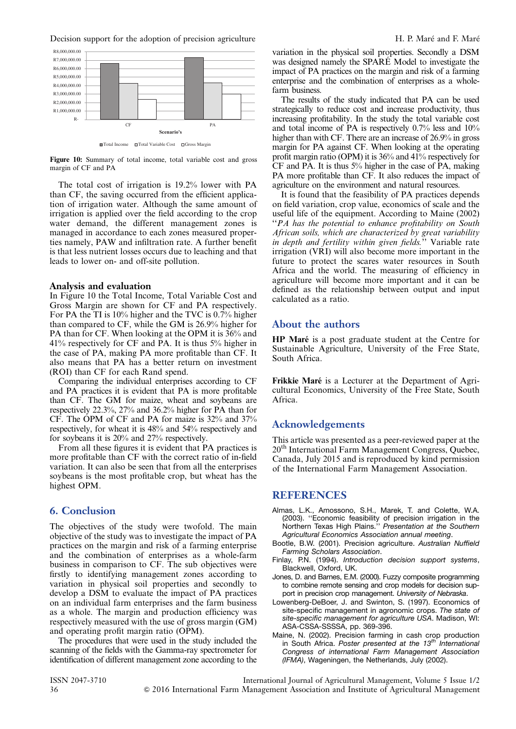Decision support for the adoption of precision agriculture H. P. Maré and F. Maré



■Total Income □Total Variable Cost □ Gross Margin

Figure 10: Summary of total income, total variable cost and gross margin of CF and PA

The total cost of irrigation is 19.2% lower with PA than CF, the saving occurred from the efficient application of irrigation water. Although the same amount of irrigation is applied over the field according to the crop water demand, the different management zones is managed in accordance to each zones measured properties namely, PAW and infiltration rate. A further benefit is that less nutrient losses occurs due to leaching and that leads to lower on- and off-site pollution.

### Analysis and evaluation

In Figure 10 the Total Income, Total Variable Cost and Gross Margin are shown for CF and PA respectively. For PA the TI is 10% higher and the TVC is 0.7% higher than compared to CF, while the GM is 26.9% higher for PA than for CF. When looking at the OPM it is  $36\%$  and 41% respectively for CF and PA. It is thus 5% higher in the case of PA, making PA more profitable than CF. It also means that PA has a better return on investment (ROI) than CF for each Rand spend.

Comparing the individual enterprises according to CF and PA practices it is evident that PA is more profitable than CF. The GM for maize, wheat and soybeans are respectively 22.3%, 27% and 36.2% higher for PA than for CF. The OPM of CF and PA for maize is 32% and 37% respectively, for wheat it is 48% and 54% respectively and for soybeans it is 20% and 27% respectively.

From all these figures it is evident that PA practices is more profitable than CF with the correct ratio of in-field variation. It can also be seen that from all the enterprises soybeans is the most profitable crop, but wheat has the highest OPM.

# 6. Conclusion

The objectives of the study were twofold. The main objective of the study was to investigate the impact of PA practices on the margin and risk of a farming enterprise and the combination of enterprises as a whole-farm business in comparison to CF. The sub objectives were firstly to identifying management zones according to variation in physical soil properties and secondly to develop a DSM to evaluate the impact of PA practices on an individual farm enterprises and the farm business as a whole. The margin and production efficiency was respectively measured with the use of gross margin (GM) and operating profit margin ratio (OPM).

The procedures that were used in the study included the scanning of the fields with the Gamma-ray spectrometer for identification of different management zone according to the variation in the physical soil properties. Secondly a DSM was designed namely the SPARÉ Model to investigate the impact of PA practices on the margin and risk of a farming enterprise and the combination of enterprises as a wholefarm business.

The results of the study indicated that PA can be used strategically to reduce cost and increase productivity, thus increasing profitability. In the study the total variable cost and total income of PA is respectively 0.7% less and 10% higher than with CF. There are an increase of 26.9% in gross margin for PA against CF. When looking at the operating profit margin ratio (OPM) it is 36% and 41% respectively for CF and PA. It is thus 5% higher in the case of PA, making PA more profitable than CF. It also reduces the impact of agriculture on the environment and natural resources.

It is found that the feasibility of PA practices depends on field variation, crop value, economics of scale and the useful life of the equipment. According to Maine (2002) ''PA has the potential to enhance profitability on South African soils, which are characterized by great variability in depth and fertility within given fields." Variable rate irrigation (VRI) will also become more important in the future to protect the scares water resources in South Africa and the world. The measuring of efficiency in agriculture will become more important and it can be defined as the relationship between output and input calculated as a ratio.

# About the authors

HP Maré is a post graduate student at the Centre for Sustainable Agriculture, University of the Free State, South Africa.

Frikkie Maré is a Lecturer at the Department of Agricultural Economics, University of the Free State, South Africa.

# Acknowledgements

This article was presented as a peer-reviewed paper at the 20<sup>th</sup> International Farm Management Congress, Ouebec, Canada, July 2015 and is reproduced by kind permission of the International Farm Management Association.

### **REFERENCES**

- Almas, L.K., Amossono, S.H., Marek, T. and Colette, W.A. (2003). ''Economic feasibility of precision irrigation in the Northern Texas High Plains.'' Presentation at the Southern Agricultural Economics Association annual meeting.
- Bootle, B.W. (2001). Precision agriculture. Australian Nuffield Farming Scholars Association.
- Finlay, P.N. (1994). Introduction decision support systems, Blackwell, Oxford, UK.
- Jones, D. and Barnes, E.M. (2000). Fuzzy composite programming to combine remote sensing and crop models for decision support in precision crop management. University of Nebraska.
- Lowenberg-DeBoer, J. and Swinton, S. (1997). Economics of site-specific management in agronomic crops. The state of site-specific management for agriculture USA. Madison, WI: ASA-CSSA-SSSSA, pp. 369-396.
- Maine, N. (2002). Precision farming in cash crop production in South Africa. Poster presented at the  $13<sup>th</sup>$  International Congress of international Farm Management Association (IFMA), Wageningen, the Netherlands, July (2002).